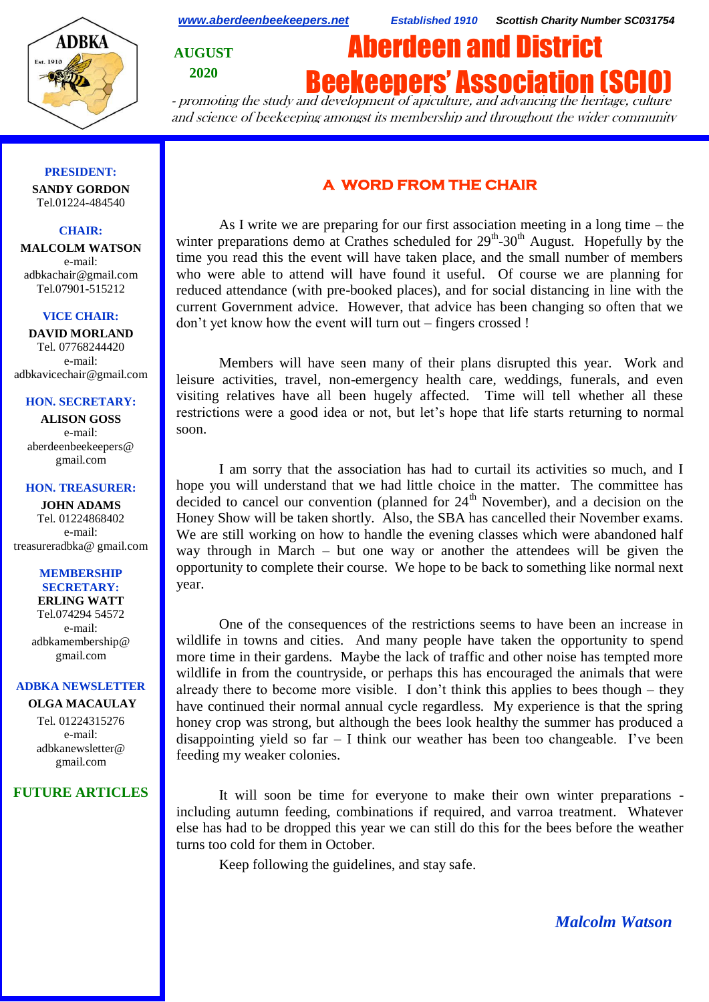

*[www.aberdeenbeekeepers.net](http://www.aberdeenbeekeepers.net/) Established 1910 Scottish Charity Number SC031754*

**AUGUST 2020**

# **Beekeepers' Association (SCI**

Aberdeen and District

- promoting the study and development of apiculture, and advancing the heritage, culture and science of beekeeping amongst its membership and throughout the wider community

#### **PRESIDENT:**

**SANDY GORDON** Tel.01224-484540

#### **CHAIR:**

**MALCOLM WATSON** e-mail: adbkachair@gmail.com Tel.07901-515212

#### **VICE CHAIR:**

**DAVID MORLAND** Tel. 07768244420 e-mail: adbkavicechair@gmail.com

### **HON. SECRETARY:**

**ALISON GOSS**  e-mail: aberdeenbeekeepers@ gmail.com

#### **HON. TREASURER:**

**JOHN ADAMS** Tel. 01224868402 e-mail: [treasureradbka@ gmail.com](https://e.mail.ru/compose/?mailto=mailto%3atreasureradbka@gmail.com)

#### **MEMBERSHIP SECRETARY:**

**ERLING WATT** Tel.074294 54572 e-mail: [adbkamembership@](mailto:watterlingg@aol.com) [gmail.com](mailto:watterlingg@aol.com)

## **ADBKA NEWSLETTER**

**OLGA MACAULAY** Tel. 01224315276 e-mail: adbkanewsletter@ gmail.com

## **FUTURE ARTICLES**

# **A WORD FROM THE CHAIR**

As I write we are preparing for our first association meeting in a long time – the winter preparations demo at Crathes scheduled for  $29<sup>th</sup>$ -30<sup>th</sup> August. Hopefully by the time you read this the event will have taken place, and the small number of members who were able to attend will have found it useful. Of course we are planning for reduced attendance (with pre-booked places), and for social distancing in line with the current Government advice. However, that advice has been changing so often that we don't yet know how the event will turn out – fingers crossed !

Members will have seen many of their plans disrupted this year. Work and leisure activities, travel, non-emergency health care, weddings, funerals, and even visiting relatives have all been hugely affected. Time will tell whether all these restrictions were a good idea or not, but let's hope that life starts returning to normal soon.

I am sorry that the association has had to curtail its activities so much, and I hope you will understand that we had little choice in the matter. The committee has decided to cancel our convention (planned for  $24<sup>th</sup>$  November), and a decision on the Honey Show will be taken shortly. Also, the SBA has cancelled their November exams. We are still working on how to handle the evening classes which were abandoned half way through in March – but one way or another the attendees will be given the opportunity to complete their course. We hope to be back to something like normal next year.

One of the consequences of the restrictions seems to have been an increase in wildlife in towns and cities. And many people have taken the opportunity to spend more time in their gardens. Maybe the lack of traffic and other noise has tempted more wildlife in from the countryside, or perhaps this has encouraged the animals that were already there to become more visible. I don't think this applies to bees though – they have continued their normal annual cycle regardless. My experience is that the spring honey crop was strong, but although the bees look healthy the summer has produced a disappointing yield so  $far - I$  think our weather has been too changeable. I've been feeding my weaker colonies.

It will soon be time for everyone to make their own winter preparations including autumn feeding, combinations if required, and varroa treatment. Whatever else has had to be dropped this year we can still do this for the bees before the weather turns too cold for them in October.

Keep following the guidelines, and stay safe.

*Malcolm Watson*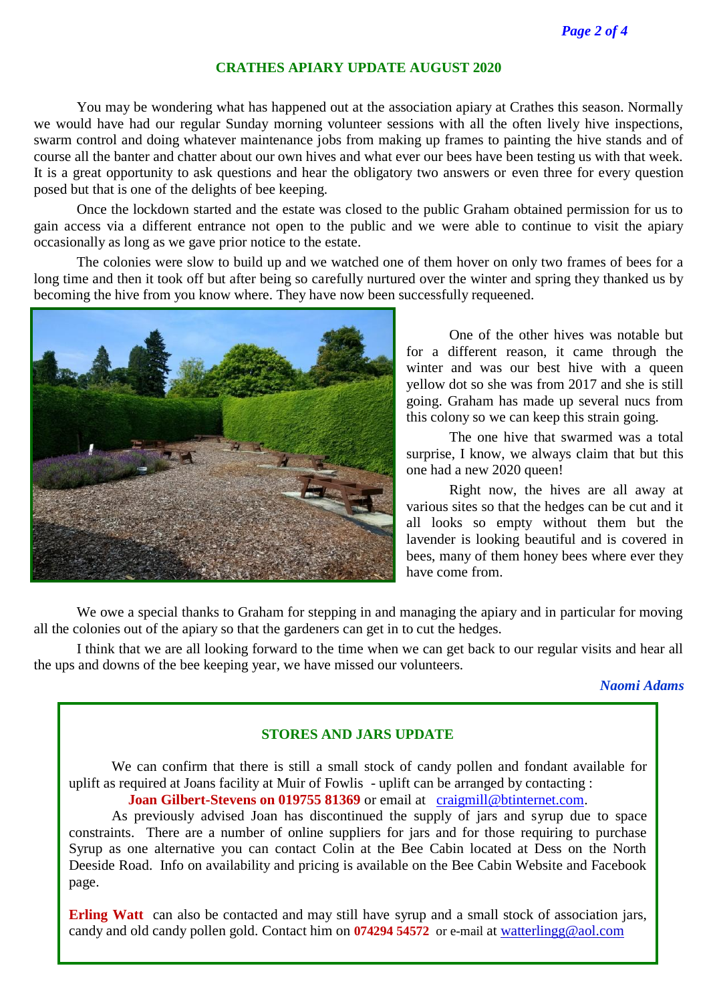## **CRATHES APIARY UPDATE AUGUST 2020**

You may be wondering what has happened out at the association apiary at Crathes this season. Normally we would have had our regular Sunday morning volunteer sessions with all the often lively hive inspections, swarm control and doing whatever maintenance jobs from making up frames to painting the hive stands and of course all the banter and chatter about our own hives and what ever our bees have been testing us with that week. It is a great opportunity to ask questions and hear the obligatory two answers or even three for every question posed but that is one of the delights of bee keeping.

Once the lockdown started and the estate was closed to the public Graham obtained permission for us to gain access via a different entrance not open to the public and we were able to continue to visit the apiary occasionally as long as we gave prior notice to the estate.

The colonies were slow to build up and we watched one of them hover on only two frames of bees for a long time and then it took off but after being so carefully nurtured over the winter and spring they thanked us by becoming the hive from you know where. They have now been successfully requeened.



One of the other hives was notable but for a different reason, it came through the winter and was our best hive with a queen yellow dot so she was from 2017 and she is still going. Graham has made up several nucs from this colony so we can keep this strain going.

The one hive that swarmed was a total surprise, I know, we always claim that but this one had a new 2020 queen!

Right now, the hives are all away at various sites so that the hedges can be cut and it all looks so empty without them but the lavender is looking beautiful and is covered in bees, many of them honey bees where ever they have come from.

We owe a special thanks to Graham for stepping in and managing the apiary and in particular for moving all the colonies out of the apiary so that the gardeners can get in to cut the hedges.

I think that we are all looking forward to the time when we can get back to our regular visits and hear all the ups and downs of the bee keeping year, we have missed our volunteers.

*Naomi Adams*

## **STORES AND JARS UPDATE**

We can confirm that there is still a small stock of candy pollen and fondant available for uplift as required at Joans facility at Muir of Fowlis - uplift can be arranged by contacting :

**Joan Gilbert-Stevens on 019755 81369** or email at [craigmill@btinternet.com.](https://e.mail.ru/compose/?mailto=mailto%3acraigmill@btinternet.com)

As previously advised Joan has discontinued the supply of jars and syrup due to space constraints. There are a number of online suppliers for jars and for those requiring to purchase Syrup as one alternative you can contact Colin at the Bee Cabin located at Dess on the North Deeside Road. Info on availability and pricing is available on the Bee Cabin Website and Facebook page.

**Erling Watt** can also be contacted and may still have syrup and a small stock of association jars, candy and old candy pollen gold. Contact him on **074294 54572** or e-mail at [watterlingg@aol.com](mailto:watterlingg@aol.com)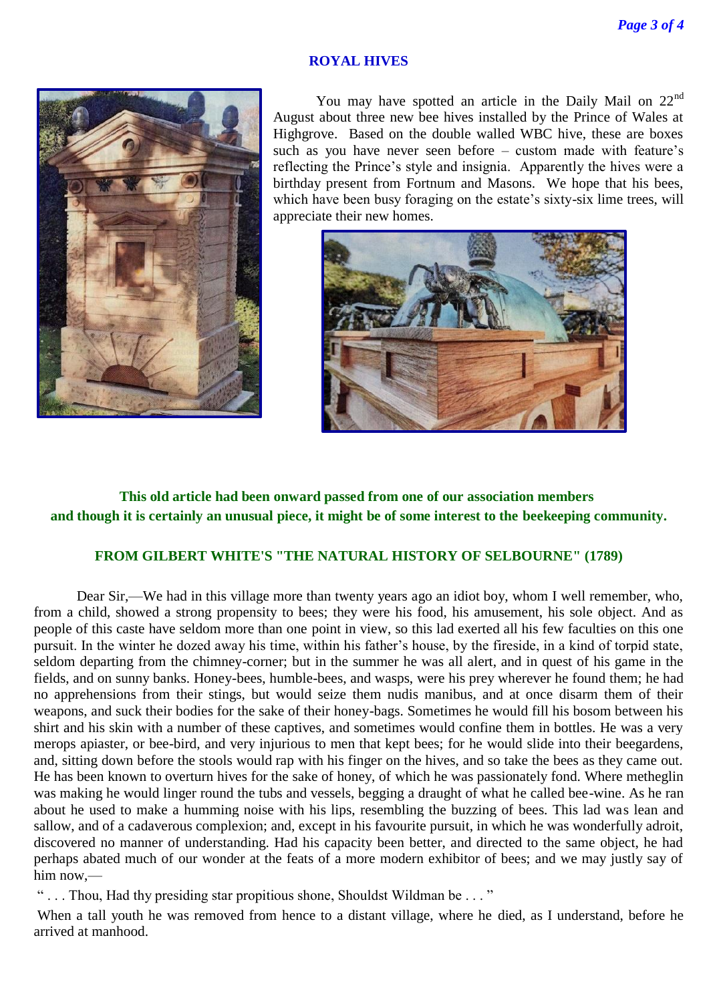## **ROYAL HIVES**



You may have spotted an article in the Daily Mail on  $22<sup>nd</sup>$ August about three new bee hives installed by the Prince of Wales at Highgrove. Based on the double walled WBC hive, these are boxes such as you have never seen before – custom made with feature's reflecting the Prince's style and insignia. Apparently the hives were a birthday present from Fortnum and Masons. We hope that his bees, which have been busy foraging on the estate's sixty-six lime trees, will appreciate their new homes.



# **This old article had been onward passed from one of our association members and though it is certainly an unusual piece, it might be of some interest to the beekeeping community.**

# **FROM GILBERT WHITE'S "THE NATURAL HISTORY OF SELBOURNE" (1789)**

Dear Sir,—We had in this village more than twenty years ago an idiot boy, whom I well remember, who, from a child, showed a strong propensity to bees; they were his food, his amusement, his sole object. And as people of this caste have seldom more than one point in view, so this lad exerted all his few faculties on this one pursuit. In the winter he dozed away his time, within his father's house, by the fireside, in a kind of torpid state, seldom departing from the chimney-corner; but in the summer he was all alert, and in quest of his game in the fields, and on sunny banks. Honey-bees, humble-bees, and wasps, were his prey wherever he found them; he had no apprehensions from their stings, but would seize them nudis manibus, and at once disarm them of their weapons, and suck their bodies for the sake of their honey-bags. Sometimes he would fill his bosom between his shirt and his skin with a number of these captives, and sometimes would confine them in bottles. He was a very merops apiaster, or bee-bird, and very injurious to men that kept bees; for he would slide into their beegardens, and, sitting down before the stools would rap with his finger on the hives, and so take the bees as they came out. He has been known to overturn hives for the sake of honey, of which he was passionately fond. Where metheglin was making he would linger round the tubs and vessels, begging a draught of what he called bee-wine. As he ran about he used to make a humming noise with his lips, resembling the buzzing of bees. This lad was lean and sallow, and of a cadaverous complexion; and, except in his favourite pursuit, in which he was wonderfully adroit, discovered no manner of understanding. Had his capacity been better, and directed to the same object, he had perhaps abated much of our wonder at the feats of a more modern exhibitor of bees; and we may justly say of him now,—

" . . . Thou, Had thy presiding star propitious shone, Shouldst Wildman be . . . "

When a tall youth he was removed from hence to a distant village, where he died, as I understand, before he arrived at manhood.